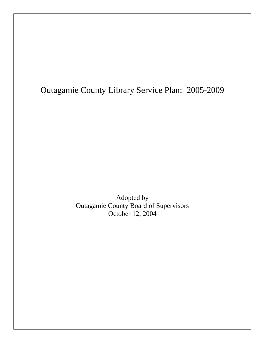# Outagamie County Library Service Plan: 2005-2009

Adopted by Outagamie County Board of Supervisors October 12, 2004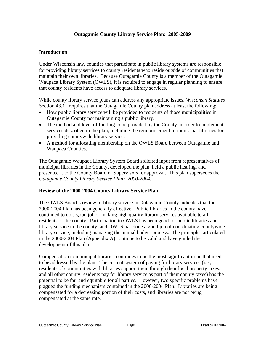# **Outagamie County Library Service Plan: 2005-2009**

## **Introduction**

Under Wisconsin law, counties that participate in public library systems are responsible for providing library services to county residents who reside outside of communities that maintain their own libraries. Because Outagamie County is a member of the Outagamie Waupaca Library System (OWLS), it is required to engage in regular planning to ensure that county residents have access to adequate library services.

While county library service plans can address any appropriate issues, *Wisconsin Statutes* Section 43.11 requires that the Outagamie County plan address at least the following:

- How public library service will be provided to residents of those municipalities in Outagamie County not maintaining a public library.
- The method and level of funding to be provided by the County in order to implement services described in the plan, including the reimbursement of municipal libraries for providing countywide library service.
- A method for allocating membership on the OWLS Board between Outagamie and Waupaca Counties.

The Outagamie Waupaca Library System Board solicited input from representatives of municipal libraries in the County, developed the plan, held a public hearing, and presented it to the County Board of Supervisors for approval. This plan supersedes the *Outagamie County Library Service Plan: 2000-2004*.

### **Review of the 2000-2004 County Library Service Plan**

The OWLS Board's review of library service in Outagamie County indicates that the 2000-2004 Plan has been generally effective. Public libraries in the county have continued to do a good job of making high quality library services available to all residents of the county. Participation in OWLS has been good for public libraries and library service in the county, and OWLS has done a good job of coordinating countywide library service, including managing the annual budget process. The principles articulated in the 2000-2004 Plan (Appendix A) continue to be valid and have guided the development of this plan.

Compensation to municipal libraries continues to be the most significant issue that needs to be addressed by the plan. The current system of paying for library services (i.e., residents of communities with libraries support them through their local property taxes, and all other county residents pay for library service as part of their county taxes) has the potential to be fair and equitable for all parties. However, two specific problems have plagued the funding mechanism contained in the 2000-2004 Plan. Libraries are being compensated for a decreasing portion of their costs, and libraries are not being compensated at the same rate.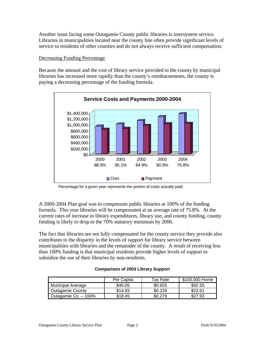Another issue facing some Outagamie County public libraries is intersystem service. Libraries in municipalities located near the county line often provide significant levels of service to residents of other counties and do not always receive sufficient compensation.

## Decreasing Funding Percentage

Because the amount and the cost of library service provided to the county by municipal libraries has increased more rapidly than the county's reimbursements, the county is paying a decreasing percentage of the funding formula.



Percentage for a given year represents the portion of costs actually paid.

A 2000-2004 Plan goal was to compensate public libraries at 100% of the funding formula. This year libraries will be compensated at an average rate of 75.8%. At the current rates of increase in library expenditures, library use, and county funding, county funding is likely to drop to the 70% statutory minimum by 2006.

The fact that libraries are not fully compensated for the county service they provide also contributes to the disparity in the levels of support for library service between municipalities with libraries and the remainder of the county. A result of receiving less than 100% funding is that municipal residents provide higher levels of support to subsidize the use of their libraries by non-residents.

|                          | Per Capita | Tax Rate | \$100,000 Home |
|--------------------------|------------|----------|----------------|
| <b>Municipal Average</b> | \$40.05    | \$0.925  | \$92.55        |
| Outagamie County         | \$14.93    | \$0.226  | \$22.61        |
| Outagamie Co. - 100%     | \$18.45    | \$0.279  | \$27.93        |

### **Comparison of 2003 Library Support**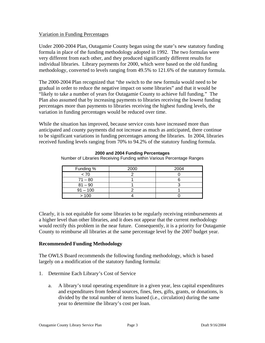## Variation in Funding Percentages

Under 2000-2004 Plan, Outagamie County began using the state's new statutory funding formula in place of the funding methodology adopted in 1992. The two formulas were very different from each other, and they produced significantly different results for individual libraries. Library payments for 2000, which were based on the old funding methodology, converted to levels ranging from 49.5% to 121.6% of the statutory formula.

The 2000-2004 Plan recognized that "the switch to the new formula would need to be gradual in order to reduce the negative impact on some libraries" and that it would be "likely to take a number of years for Outagamie County to achieve full funding." The Plan also assumed that by increasing payments to libraries receiving the lowest funding percentages more than payments to libraries receiving the highest funding levels, the variation in funding percentages would be reduced over time.

While the situation has improved, because service costs have increased more than anticipated and county payments did not increase as much as anticipated, there continue to be significant variations in funding percentages among the libraries. In 2004, libraries received funding levels ranging from 70% to 94.2% of the statutory funding formula.

| Funding %  | 2000 | 2004 |
|------------|------|------|
| < 70       |      |      |
| $71 - 80$  |      |      |
| $81 - 90$  |      |      |
| $91 - 100$ |      |      |
| >100       |      |      |

**2000 and 2004 Funding Percentages**

Number of Libraries Receiving Funding within Various Percentage Ranges

Clearly, it is not equitable for some libraries to be regularly receiving reimbursements at a higher level than other libraries, and it does not appear that the current methodology would rectify this problem in the near future. Consequently, it is a priority for Outagamie County to reimburse all libraries at the same percentage level by the 2007 budget year.

# **Recommended Funding Methodology**

The OWLS Board recommends the following funding methodology, which is based largely on a modification of the statutory funding formula:

- 1. Determine Each Library's Cost of Service
	- a. A library's total operating expenditure in a given year, less capital expenditures and expenditures from federal sources, fines, fees, gifts, grants, or donations, is divided by the total number of items loaned (i.e., circulation) during the same year to determine the library's cost per loan.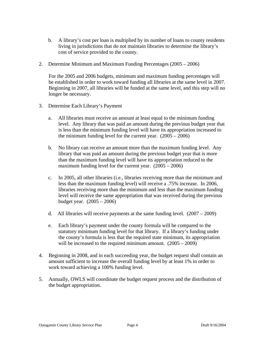- b. A library's cost per loan is multiplied by its number of loans to county residents living in jurisdictions that do not maintain libraries to determine the library's cost of service provided to the county.
- 2. Determine Minimum and Maximum Funding Percentages (2005 2006)

For the 2005 and 2006 budgets, minimum and maximum funding percentages will be established in order to work toward funding all libraries at the same level in 2007. Beginning in 2007, all libraries will be funded at the same level, and this step will no longer be necessary.

- 3. Determine Each Library's Payment
	- a. All libraries must receive an amount at least equal to the minimum funding level. Any library that was paid an amount during the previous budget year that is less than the minimum funding level will have its appropriation increased to the minimum funding level for the current year.  $(2005 - 2006)$
	- b. No library can receive an amount more than the maximum funding level. Any library that was paid an amount during the previous budget year that is more than the maximum funding level will have its appropriation reduced to the maximum funding level for the current year. (2005 – 2006)
	- c. In 2005, all other libraries (i.e., libraries receiving more than the minimum and less than the maximum funding level) will receive a .75% increase. In 2006, libraries receiving more than the minimum and less than the maximum funding level will receive the same appropriation that was received during the previous budget year. (2005 – 2006)
	- d. All libraries will receive payments at the same funding level.  $(2007 2009)$
	- e. Each library's payment under the county formula will be compared to the statutory minimum funding level for that library. If a library's funding under the county's formula is less that the required state minimum, its appropriation will be increased to the required minimum amount.  $(2005 - 2009)$
- 4. Beginning in 2008, and in each succeeding year, the budget request shall contain an amount sufficient to increase the overall funding level by at least 1% in order to work toward achieving a 100% funding level.
- 5. Annually, OWLS will coordinate the budget request process and the distribution of the budget appropriation.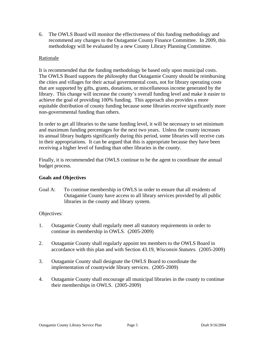6. The OWLS Board will monitor the effectiveness of this funding methodology and recommend any changes to the Outagamie County Finance Committee. In 2009, this methodology will be evaluated by a new County Library Planning Committee.

## Rationale

It is recommended that the funding methodology be based only upon municipal costs. The OWLS Board supports the philosophy that Outagamie County should be reimbursing the cities and villages for their actual governmental costs, not for library operating costs that are supported by gifts, grants, donations, or miscellaneous income generated by the library. This change will increase the county's overall funding level and make it easier to achieve the goal of providing 100% funding. This approach also provides a more equitable distribution of county funding because some libraries receive significantly more non-governmental funding than others.

In order to get all libraries to the same funding level, it will be necessary to set minimum and maximum funding percentages for the next two years. Unless the county increases its annual library budgets significantly during this period, some libraries will receive cuts in their appropriations. It can be argued that this is appropriate because they have been receiving a higher level of funding than other libraries in the county.

Finally, it is recommended that OWLS continue to be the agent to coordinate the annual budget process.

# **Goals and Objectives**

Goal A: To continue membership in OWLS in order to ensure that all residents of Outagamie County have access to all library services provided by all public libraries in the county and library system.

### Objectives:

- 1. Outagamie County shall regularly meet all statutory requirements in order to continue its membership in OWLS. (2005-2009)
- 2. Outagamie County shall regularly appoint ten members to the OWLS Board in accordance with this plan and with Section 43.19, *Wisconsin Statutes.* (2005-2009)
- 3. Outagamie County shall designate the OWLS Board to coordinate the implementation of countywide library services. (2005-2009)
- 4. Outagamie County shall encourage all municipal libraries in the county to continue their memberships in OWLS. (2005-2009)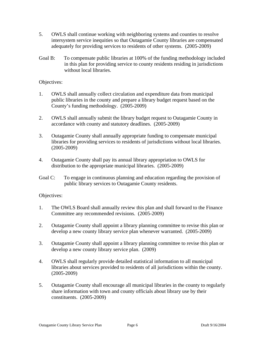- 5. OWLS shall continue working with neighboring systems and counties to resolve intersystem service inequities so that Outagamie County libraries are compensated adequately for providing services to residents of other systems. (2005-2009)
- Goal B: To compensate public libraries at 100% of the funding methodology included in this plan for providing service to county residents residing in jurisdictions without local libraries.

## Objectives:

- 1. OWLS shall annually collect circulation and expenditure data from municipal public libraries in the county and prepare a library budget request based on the County's funding methodology. (2005-2009)
- 2. OWLS shall annually submit the library budget request to Outagamie County in accordance with county and statutory deadlines. (2005-2009)
- 3. Outagamie County shall annually appropriate funding to compensate municipal libraries for providing services to residents of jurisdictions without local libraries. (2005-2009)
- 4. Outagamie County shall pay its annual library appropriation to OWLS for distribution to the appropriate municipal libraries. (2005-2009)
- Goal C: To engage in continuous planning and education regarding the provision of public library services to Outagamie County residents.

### Objectives:

- 1. The OWLS Board shall annually review this plan and shall forward to the Finance Committee any recommended revisions. (2005-2009)
- 2. Outagamie County shall appoint a library planning committee to revise this plan or develop a new county library service plan whenever warranted. (2005-2009)
- 3. Outagamie County shall appoint a library planning committee to revise this plan or develop a new county library service plan. (2009)
- 4. OWLS shall regularly provide detailed statistical information to all municipal libraries about services provided to residents of all jurisdictions within the county. (2005-2009)
- 5. Outagamie County shall encourage all municipal libraries in the county to regularly share information with town and county officials about library use by their constituents. (2005-2009)